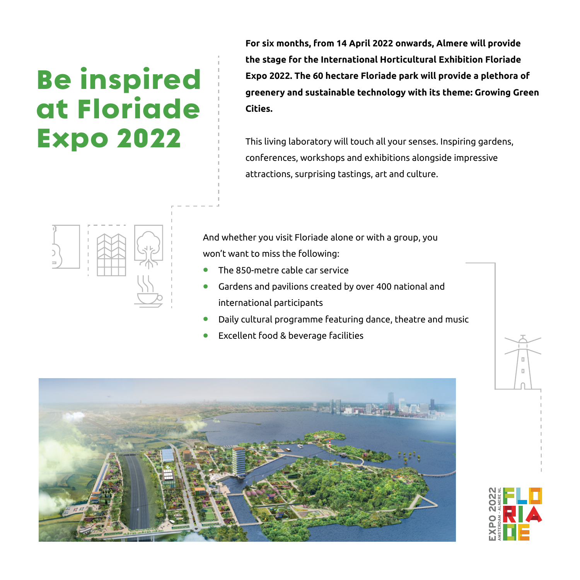## Be inspired at Floriade Expo 2022

**For six months, from 14 April 2022 onwards, Almere will provide the stage for the International Horticultural Exhibition Floriade Expo 2022. The 60 hectare Floriade park will provide a plethora of greenery and sustainable technology with its theme: Growing Green Cities.** 

This living laboratory will touch all your senses. Inspiring gardens, conferences, workshops and exhibitions alongside impressive attractions, surprising tastings, art and culture.



And whether you visit Floriade alone or with a group, you won't want to miss the following:

- **•** The 850-metre cable car service
- **•** Gardens and pavilions created by over 400 national and international participants
- **•** Daily cultural programme featuring dance, theatre and music
- **•** Excellent food & beverage facilities